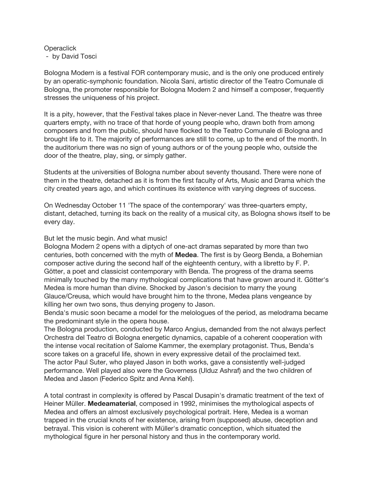## **Operaclick** - by David Tosci

Bologna Modern is a festival FOR contemporary music, and is the only one produced entirely by an operatic-symphonic foundation. Nicola Sani, artistic director of the Teatro Comunale di Bologna, the promoter responsible for Bologna Modern 2 and himself a composer, frequently stresses the uniqueness of his project.

It is a pity, however, that the Festival takes place in Never-never Land. The theatre was three quarters empty, with no trace of that horde of young people who, drawn both from among composers and from the public, should have flocked to the Teatro Comunale di Bologna and brought life to it. The majority of performances are still to come, up to the end of the month. In the auditorium there was no sign of young authors or of the young people who, outside the door of the theatre, play, sing, or simply gather.

Students at the universities of Bologna number about seventy thousand. There were none of them in the theatre, detached as it is from the first faculty of Arts, Music and Drama which the city created years ago, and which continues its existence with varying degrees of success.

On Wednesday October 11 'The space of the contemporary' was three-quarters empty, distant, detached, turning its back on the reality of a musical city, as Bologna shows itself to be every day.

## But let the music begin. And what music!

Bologna Modern 2 opens with a diptych of one-act dramas separated by more than two centuries, both concerned with the myth of **Medea**. The first is by Georg Benda, a Bohemian composer active during the second half of the eighteenth century, with a libretto by F. P. Götter, a poet and classicist contemporary with Benda. The progress of the drama seems minimally touched by the many mythological complications that have grown around it. Götter's Medea is more human than divine. Shocked by Jason's decision to marry the young Glauce/Creusa, which would have brought him to the throne, Medea plans vengeance by killing her own two sons, thus denying progeny to Jason.

Benda's music soon became a model for the melologues of the period, as melodrama became the predominant style in the opera house.

The Bologna production, conducted by Marco Angius, demanded from the not always perfect Orchestra del Teatro di Bologna energetic dynamics, capable of a coherent cooperation with the intense vocal recitation of Salome Kammer, the exemplary protagonist. Thus, Benda's score takes on a graceful life, shown in every expressive detail of the proclaimed text. The actor Paul Suter, who played Jason in both works, gave a consistently well-judged performance. Well played also were the Governess (Ulduz Ashraf) and the two children of Medea and Jason (Federico Spitz and Anna Kehl).

A total contrast in complexity is offered by Pascal Dusapin's dramatic treatment of the text of Heiner Müller. **Medeamaterial**, composed in 1992, minimises the mythological aspects of Medea and offers an almost exclusively psychological portrait. Here, Medea is a woman trapped in the crucial knots of her existence, arising from (supposed) abuse, deception and betrayal. This vision is coherent with Müller's dramatic conception, which situated the mythological figure in her personal history and thus in the contemporary world.